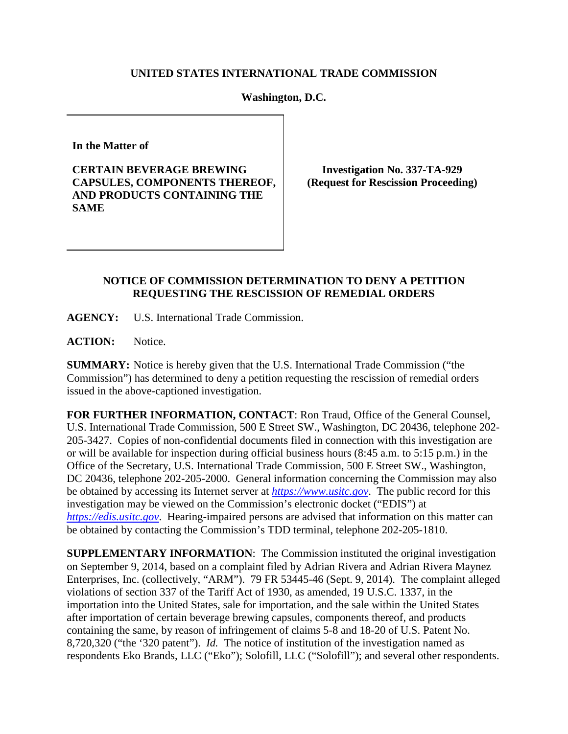## **UNITED STATES INTERNATIONAL TRADE COMMISSION**

## **Washington, D.C.**

**In the Matter of**

**CERTAIN BEVERAGE BREWING CAPSULES, COMPONENTS THEREOF, AND PRODUCTS CONTAINING THE SAME**

**Investigation No. 337-TA-929 (Request for Rescission Proceeding)**

## **NOTICE OF COMMISSION DETERMINATION TO DENY A PETITION REQUESTING THE RESCISSION OF REMEDIAL ORDERS**

**AGENCY:** U.S. International Trade Commission.

**ACTION:** Notice.

**SUMMARY:** Notice is hereby given that the U.S. International Trade Commission ("the Commission") has determined to deny a petition requesting the rescission of remedial orders issued in the above-captioned investigation.

**FOR FURTHER INFORMATION, CONTACT**: Ron Traud, Office of the General Counsel, U.S. International Trade Commission, 500 E Street SW., Washington, DC 20436, telephone 202- 205-3427. Copies of non-confidential documents filed in connection with this investigation are or will be available for inspection during official business hours (8:45 a.m. to 5:15 p.m.) in the Office of the Secretary, U.S. International Trade Commission, 500 E Street SW., Washington, DC 20436, telephone 202-205-2000. General information concerning the Commission may also be obtained by accessing its Internet server at *[https://www.usitc.gov](https://www.usitc.gov/)*. The public record for this investigation may be viewed on the Commission's electronic docket ("EDIS") at *[https://edis.usitc.gov](https://edis.usitc.gov/)*. Hearing-impaired persons are advised that information on this matter can be obtained by contacting the Commission's TDD terminal, telephone 202-205-1810.

**SUPPLEMENTARY INFORMATION**: The Commission instituted the original investigation on September 9, 2014, based on a complaint filed by Adrian Rivera and Adrian Rivera Maynez Enterprises, Inc. (collectively, "ARM"). 79 FR 53445-46 (Sept. 9, 2014). The complaint alleged violations of section 337 of the Tariff Act of 1930, as amended, 19 U.S.C. 1337, in the importation into the United States, sale for importation, and the sale within the United States after importation of certain beverage brewing capsules, components thereof, and products containing the same, by reason of infringement of claims 5-8 and 18-20 of U.S. Patent No. 8,720,320 ("the '320 patent"). *Id.* The notice of institution of the investigation named as respondents Eko Brands, LLC ("Eko"); Solofill, LLC ("Solofill"); and several other respondents.